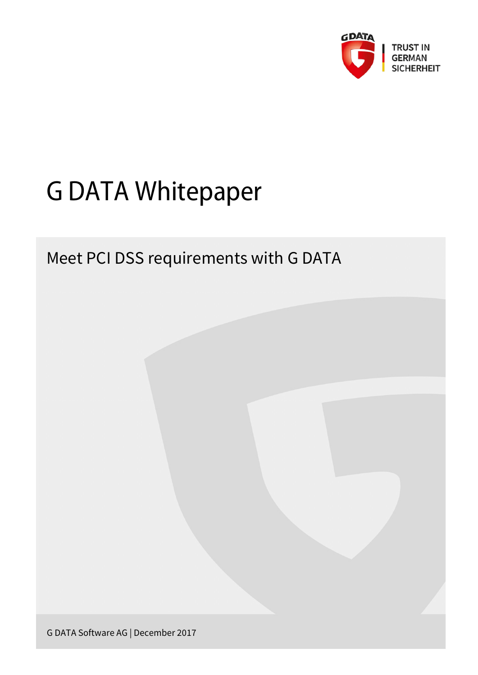

# G DATA Whitepaper

## Meet PCI DSS requirements with G DATA

G DATA Software AG | December 2017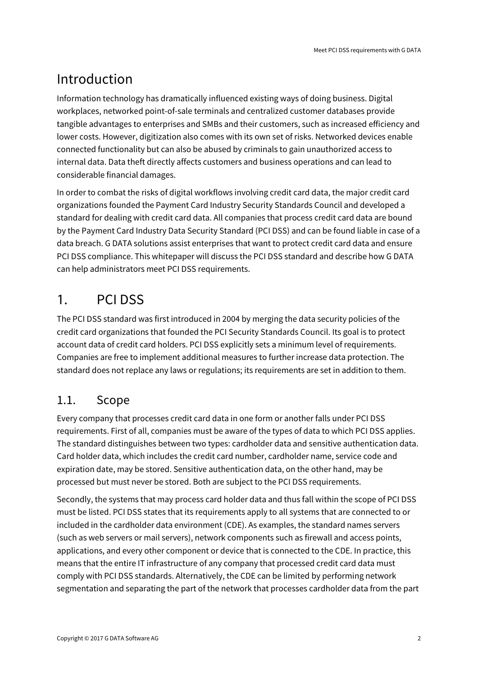## Introduction

Information technology has dramatically influenced existing ways of doing business. Digital workplaces, networked point-of-sale terminals and centralized customer databases provide tangible advantages to enterprises and SMBs and their customers, such as increased efficiency and lower costs. However, digitization also comes with its own set of risks. Networked devices enable connected functionality but can also be abused by criminals to gain unauthorized access to internal data. Data theft directly affects customers and business operations and can lead to considerable financial damages.

In order to combat the risks of digital workflows involving credit card data, the major credit card organizations founded the Payment Card Industry Security Standards Council and developed a standard for dealing with credit card data. All companies that process credit card data are bound by the Payment Card Industry Data Security Standard (PCI DSS) and can be found liable in case of a data breach. G DATA solutions assist enterprises that want to protect credit card data and ensure PCI DSS compliance. This whitepaper will discuss the PCI DSS standard and describe how G DATA can help administrators meet PCI DSS requirements.

## 1. PCI DSS

The PCI DSS standard was first introduced in 2004 by merging the data security policies of the credit card organizations that founded the PCI Security Standards Council. Its goal is to protect account data of credit card holders. PCI DSS explicitly sets a minimum level of requirements. Companies are free to implement additional measures to further increase data protection. The standard does not replace any laws or regulations; its requirements are set in addition to them.

#### 1.1. Scope

Every company that processes credit card data in one form or another falls under PCI DSS requirements. First of all, companies must be aware of the types of data to which PCI DSS applies. The standard distinguishes between two types: cardholder data and sensitive authentication data. Card holder data, which includes the credit card number, cardholder name, service code and expiration date, may be stored. Sensitive authentication data, on the other hand, may be processed but must never be stored. Both are subject to the PCI DSS requirements.

Secondly, the systems that may process card holder data and thus fall within the scope of PCI DSS must be listed. PCI DSS states that its requirements apply to all systems that are connected to or included in the cardholder data environment (CDE). As examples, the standard names servers (such as web servers or mail servers), network components such as firewall and access points, applications, and every other component or device that is connected to the CDE. In practice, this means that the entire IT infrastructure of any company that processed credit card data must comply with PCI DSS standards. Alternatively, the CDE can be limited by performing network segmentation and separating the part of the network that processes cardholder data from the part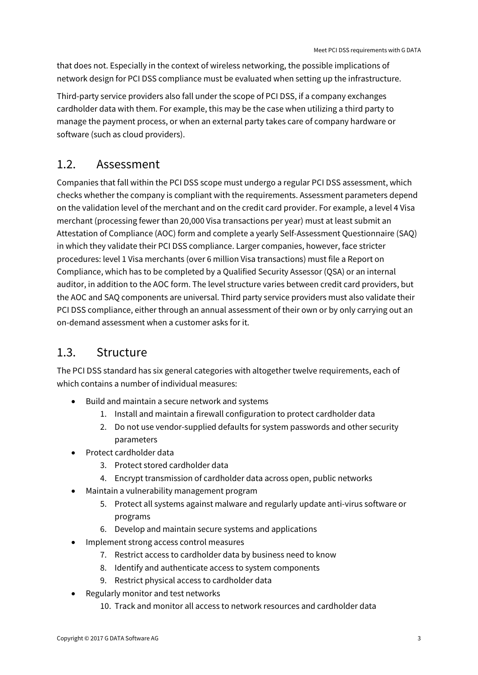that does not. Especially in the context of wireless networking, the possible implications of network design for PCI DSS compliance must be evaluated when setting up the infrastructure.

Third-party service providers also fall under the scope of PCI DSS, if a company exchanges cardholder data with them. For example, this may be the case when utilizing a third party to manage the payment process, or when an external party takes care of company hardware or software (such as cloud providers).

#### 1.2. Assessment

Companies that fall within the PCI DSS scope must undergo a regular PCI DSS assessment, which checks whether the company is compliant with the requirements. Assessment parameters depend on the validation level of the merchant and on the credit card provider. For example, a level 4 Visa merchant (processing fewer than 20,000 Visa transactions per year) must at least submit an Attestation of Compliance (AOC) form and complete a yearly Self-Assessment Questionnaire (SAQ) in which they validate their PCI DSS compliance. Larger companies, however, face stricter procedures: level 1 Visa merchants (over 6 million Visa transactions) must file a Report on Compliance, which has to be completed by a Qualified Security Assessor (QSA) or an internal auditor, in addition to the AOC form. The level structure varies between credit card providers, but the AOC and SAQ components are universal. Third party service providers must also validate their PCI DSS compliance, either through an annual assessment of their own or by only carrying out an on-demand assessment when a customer asks for it.

#### 1.3. Structure

The PCI DSS standard has six general categories with altogether twelve requirements, each of which contains a number of individual measures:

- Build and maintain a secure network and systems
	- 1. Install and maintain a firewall configuration to protect cardholder data
	- 2. Do not use vendor-supplied defaults for system passwords and other security parameters
- Protect cardholder data
	- 3. Protect stored cardholder data
	- 4. Encrypt transmission of cardholder data across open, public networks
- Maintain a vulnerability management program
	- 5. Protect all systems against malware and regularly update anti-virus software or programs
	- 6. Develop and maintain secure systems and applications
- Implement strong access control measures
	- 7. Restrict access to cardholder data by business need to know
	- 8. Identify and authenticate access to system components
	- 9. Restrict physical access to cardholder data
- Regularly monitor and test networks
	- 10. Track and monitor all access to network resources and cardholder data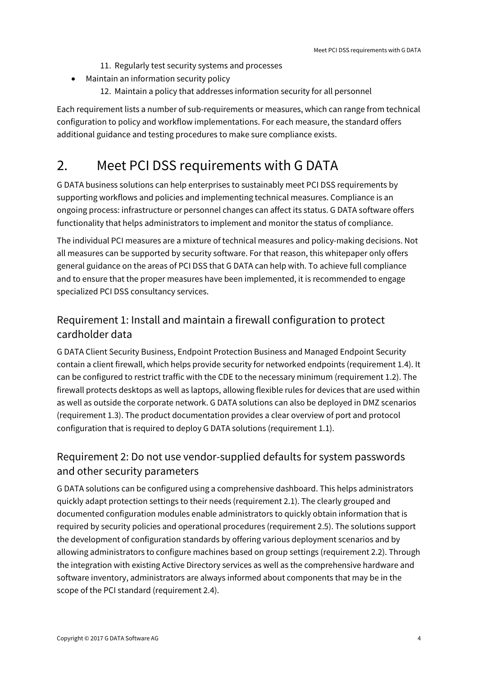- 11. Regularly test security systems and processes
- Maintain an information security policy
	- 12. Maintain a policy that addresses information security for all personnel

Each requirement lists a number of sub-requirements or measures, which can range from technical configuration to policy and workflow implementations. For each measure, the standard offers additional guidance and testing procedures to make sure compliance exists.

### 2. Meet PCI DSS requirements with G DATA

G DATA business solutions can help enterprises to sustainably meet PCI DSS requirements by supporting workflows and policies and implementing technical measures. Compliance is an ongoing process: infrastructure or personnel changes can affect its status. G DATA software offers functionality that helps administrators to implement and monitor the status of compliance.

The individual PCI measures are a mixture of technical measures and policy-making decisions. Not all measures can be supported by security software. For that reason, this whitepaper only offers general guidance on the areas of PCI DSS that G DATA can help with. To achieve full compliance and to ensure that the proper measures have been implemented, it is recommended to engage specialized PCI DSS consultancy services.

#### Requirement 1: Install and maintain a firewall configuration to protect cardholder data

G DATA Client Security Business, Endpoint Protection Business and Managed Endpoint Security contain a client firewall, which helps provide security for networked endpoints (requirement 1.4). It can be configured to restrict traffic with the CDE to the necessary minimum (requirement 1.2). The firewall protects desktops as well as laptops, allowing flexible rules for devices that are used within as well as outside the corporate network. G DATA solutions can also be deployed in DMZ scenarios (requirement 1.3). The product documentation provides a clear overview of port and protocol configuration that is required to deploy G DATA solutions (requirement 1.1).

#### Requirement 2: Do not use vendor-supplied defaults for system passwords and other security parameters

G DATA solutions can be configured using a comprehensive dashboard. This helps administrators quickly adapt protection settings to their needs (requirement 2.1). The clearly grouped and documented configuration modules enable administrators to quickly obtain information that is required by security policies and operational procedures (requirement 2.5). The solutions support the development of configuration standards by offering various deployment scenarios and by allowing administrators to configure machines based on group settings (requirement 2.2). Through the integration with existing Active Directory services as well as the comprehensive hardware and software inventory, administrators are always informed about components that may be in the scope of the PCI standard (requirement 2.4).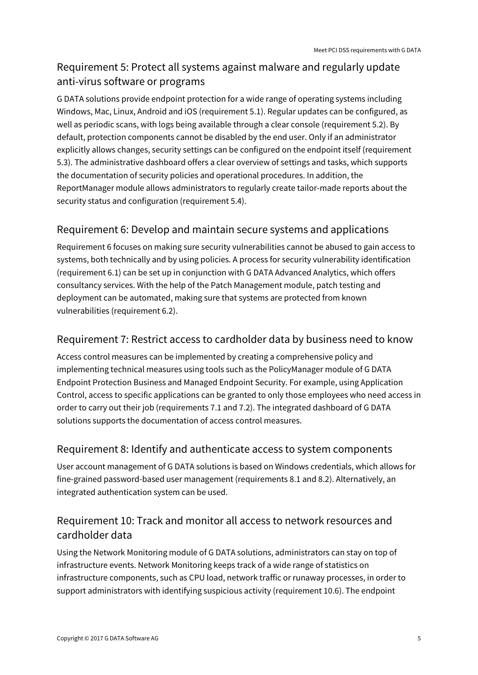#### Requirement 5: Protect all systems against malware and regularly update anti-virus software or programs

G DATA solutions provide endpoint protection for a wide range of operating systems including Windows, Mac, Linux, Android and iOS (requirement 5.1). Regular updates can be configured, as well as periodic scans, with logs being available through a clear console (requirement 5.2). By default, protection components cannot be disabled by the end user. Only if an administrator explicitly allows changes, security settings can be configured on the endpoint itself (requirement 5.3). The administrative dashboard offers a clear overview of settings and tasks, which supports the documentation of security policies and operational procedures. In addition, the ReportManager module allows administrators to regularly create tailor-made reports about the security status and configuration (requirement 5.4).

#### Requirement 6: Develop and maintain secure systems and applications

Requirement 6 focuses on making sure security vulnerabilities cannot be abused to gain access to systems, both technically and by using policies. A process for security vulnerability identification (requirement 6.1) can be set up in conjunction with G DATA Advanced Analytics, which offers consultancy services. With the help of the Patch Management module, patch testing and deployment can be automated, making sure that systems are protected from known vulnerabilities (requirement 6.2).

#### Requirement 7: Restrict access to cardholder data by business need to know

Access control measures can be implemented by creating a comprehensive policy and implementing technical measures using tools such as the PolicyManager module of G DATA Endpoint Protection Business and Managed Endpoint Security. For example, using Application Control, access to specific applications can be granted to only those employees who need access in order to carry out their job (requirements 7.1 and 7.2). The integrated dashboard of G DATA solutions supports the documentation of access control measures.

#### Requirement 8: Identify and authenticate access to system components

User account management of G DATA solutions is based on Windows credentials, which allows for fine-grained password-based user management (requirements 8.1 and 8.2). Alternatively, an integrated authentication system can be used.

#### Requirement 10: Track and monitor all access to network resources and cardholder data

Using the Network Monitoring module of G DATA solutions, administrators can stay on top of infrastructure events. Network Monitoring keeps track of a wide range of statistics on infrastructure components, such as CPU load, network traffic or runaway processes, in order to support administrators with identifying suspicious activity (requirement 10.6). The endpoint